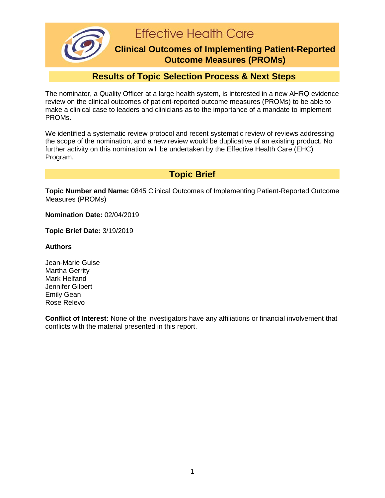**Effective Health Care** 

### **Clinical Outcomes of Implementing Patient-Reported Outcome Measures (PROMs)**

## **Results of Topic Selection Process & Next Steps**

The nominator, a Quality Officer at a large health system, is interested in a new AHRQ evidence review on the clinical outcomes of patient-reported outcome measures (PROMs) to be able to make a clinical case to leaders and clinicians as to the importance of a mandate to implement PROMs.

We identified a systematic review protocol and recent systematic review of reviews addressing the scope of the nomination, and a new review would be duplicative of an existing product. No further activity on this nomination will be undertaken by the Effective Health Care (EHC) Program.

**Topic Brief**

**Topic Number and Name:** 0845 Clinical Outcomes of Implementing Patient-Reported Outcome Measures (PROMs)

**Nomination Date:** 02/04/2019

**Topic Brief Date:** 3/19/2019

#### **Authors**

Jean-Marie Guise Martha Gerrity Mark Helfand Jennifer Gilbert Emily Gean Rose Relevo

**Conflict of Interest:** None of the investigators have any affiliations or financial involvement that conflicts with the material presented in this report.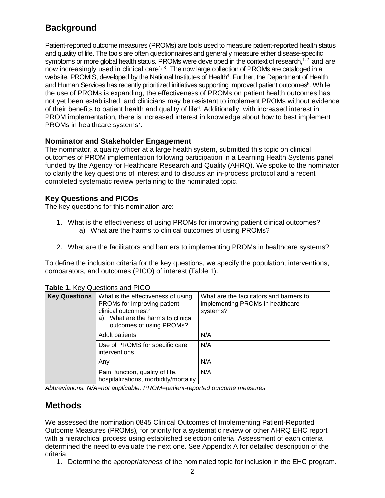# **Background**

Patient-reported outcome measures (PROMs) are tools used to measure patient-reported health status and quality of life. The tools are often questionnaires and generally measure either disease-specific symptoms or more global health status. PROMs were developed in the context of research, $^{1,2}$  $^{1,2}$  $^{1,2}$  and are now increasingly used in clinical care<sup>1, [3](#page-3-2)</sup>. The now large collection of PROMs are cataloged in a website, PROMIS, developed by the National Institutes of Health<sup>4</sup>. Further, the Department of Health and Human Services has recently prioritized initiatives supporting improved patient outcomes<sup>5</sup>. While the use of PROMs is expanding, the effectiveness of PROMs on patient health outcomes has not yet been established, and clinicians may be resistant to implement PROMs without evidence of their benefits to patient health and quality of life<sup>6</sup>. Additionally, with increased interest in PROM implementation, there is increased interest in knowledge about how to best implement PROMs in healthcare systems<sup>7</sup>.

#### **Nominator and Stakeholder Engagement**

The nominator, a quality officer at a large health system, submitted this topic on clinical outcomes of PROM implementation following participation in a Learning Health Systems panel funded by the Agency for Healthcare Research and Quality (AHRQ). We spoke to the nominator to clarify the key questions of interest and to discuss an in-process protocol and a recent completed systematic review pertaining to the nominated topic.

#### **Key Questions and PICOs**

The key questions for this nomination are:

- 1. What is the effectiveness of using PROMs for improving patient clinical outcomes? a) What are the harms to clinical outcomes of using PROMs?
- 2. What are the facilitators and barriers to implementing PROMs in healthcare systems?

To define the inclusion criteria for the key questions, we specify the population, interventions, comparators, and outcomes (PICO) of interest (Table 1).

| <b>Key Questions</b> | What is the effectiveness of using<br>PROMs for improving patient<br>clinical outcomes?<br>What are the harms to clinical<br>a)<br>outcomes of using PROMs? | What are the facilitators and barriers to<br>implementing PROMs in healthcare<br>systems? |
|----------------------|-------------------------------------------------------------------------------------------------------------------------------------------------------------|-------------------------------------------------------------------------------------------|
|                      | <b>Adult patients</b>                                                                                                                                       | N/A                                                                                       |
|                      | Use of PROMS for specific care<br>interventions                                                                                                             | N/A                                                                                       |
|                      | Any                                                                                                                                                         | N/A                                                                                       |
|                      | Pain, function, quality of life,<br>hospitalizations, morbidity/mortality                                                                                   | N/A                                                                                       |

**Table 1.** Key Questions and PICO

*Abbreviations: N/A=not applicable; PROM=patient-reported outcome measures*

## **Methods**

We assessed the nomination 0845 Clinical Outcomes of Implementing Patient-Reported Outcome Measures (PROMs)*,* for priority for a systematic review or other AHRQ EHC report with a hierarchical process using established selection criteria. Assessment of each criteria determined the need to evaluate the next one. See Appendix A for detailed description of the criteria.

1. Determine the *appropriateness* of the nominated topic for inclusion in the EHC program.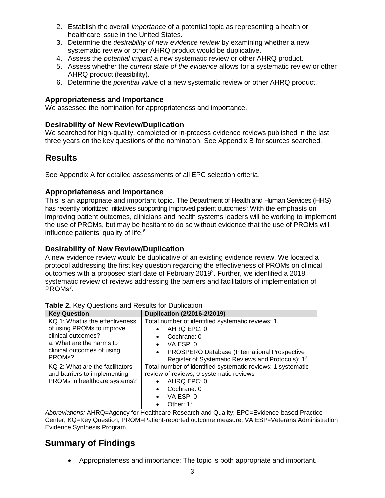- 2. Establish the overall *importance* of a potential topic as representing a health or healthcare issue in the United States.
- 3. Determine the *desirability of new evidence review* by examining whether a new systematic review or other AHRQ product would be duplicative.
- 4. Assess the *potential impact* a new systematic review or other AHRQ product.
- 5. Assess whether the *current state of the evidence* allows for a systematic review or other AHRQ product (feasibility).
- 6. Determine the *potential value* of a new systematic review or other AHRQ product.

#### **Appropriateness and Importance**

We assessed the nomination for appropriateness and importance.

#### **Desirability of New Review/Duplication**

We searched for high-quality, completed or in-process evidence reviews published in the last three years on the key questions of the nomination. See Appendix B for sources searched.

### **Results**

See Appendix A for detailed assessments of all EPC selection criteria.

#### **Appropriateness and Importance**

This is an appropriate and important topic. The Department of Health and Human Services (HHS) has recently prioritized initiatives supporting improved patient outcomes<sup>5</sup>. With the emphasis on improving patient outcomes, clinicians and health systems leaders will be working to implement the use of PROMs, but may be hesitant to do so without evidence that the use of PROMs will influence patients' quality of life. [6](#page-3-5)

#### **Desirability of New Review/Duplication**

A new evidence review would be duplicative of an existing evidence review. We located a protocol addressing the first key question regarding the effectiveness of PROMs on clinical outcomes with a proposed start date of February 2019<sup>2</sup>. Further, we identified a 2018 systematic review of reviews addressing the barriers and facilitators of implementation of PROMs<sup>7</sup>.

| <b>Key Question</b>             | Duplication (2/2016-2/2019)                                      |
|---------------------------------|------------------------------------------------------------------|
| KQ 1: What is the effectiveness | Total number of identified systematic reviews: 1                 |
| of using PROMs to improve       | AHRQ EPC: 0                                                      |
| clinical outcomes?              | Cochrane: 0                                                      |
| a. What are the harms to        | VA ESP: 0<br>$\bullet$                                           |
| clinical outcomes of using      | <b>PROSPERO Database (International Prospective</b><br>$\bullet$ |
| PROM <sub>s</sub> ?             | Register of Systematic Reviews and Protocols): 1 <sup>2</sup>    |
| KQ 2: What are the facilitators | Total number of identified systematic reviews: 1 systematic      |
| and barriers to implementing    | review of reviews, 0 systematic reviews                          |
| PROMs in healthcare systems?    | AHRQ EPC: 0                                                      |
|                                 | Cochrane: 0                                                      |
|                                 | VA ESP: 0<br>$\bullet$                                           |
|                                 | Other: $1^7$                                                     |

|  |  | Table 2. Key Questions and Results for Duplication |
|--|--|----------------------------------------------------|
|--|--|----------------------------------------------------|

*Abbreviations:* AHRQ=Agency for Healthcare Research and Quality; EPC=Evidence-based Practice Center; KQ=Key Question; PROM=Patient-reported outcome measure; VA ESP=Veterans Administration Evidence Synthesis Program

## **Summary of Findings**

• Appropriateness and importance: The topic is both appropriate and important.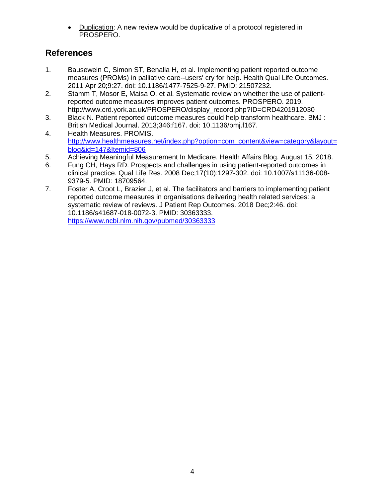• Duplication: A new review would be duplicative of a protocol registered in PROSPERO.

## **References**

- <span id="page-3-0"></span>1. Bausewein C, Simon ST, Benalia H, et al. Implementing patient reported outcome measures (PROMs) in palliative care--users' cry for help. Health Qual Life Outcomes. 2011 Apr 20;9:27. doi: 10.1186/1477-7525-9-27. PMID: 21507232.
- <span id="page-3-1"></span>2. Stamm T, Mosor E, Maisa O, et al. Systematic review on whether the use of patientreported outcome measures improves patient outcomes. PROSPERO. 2019. http://www.crd.york.ac.uk/PROSPERO/display\_record.php?ID=CRD4201912030
- <span id="page-3-2"></span>3. Black N. Patient reported outcome measures could help transform healthcare. BMJ : British Medical Journal. 2013;346:f167. doi: 10.1136/bmj.f167.
- <span id="page-3-3"></span>4. Health Measures. PROMIS. http://www.healthmeasures.net/index.php?option=com\_content&view=category&layout= blog&id=147&Itemid=806
- <span id="page-3-4"></span>5. Achieving Meaningful Measurement In Medicare. Health Affairs Blog. August 15, 2018.
- <span id="page-3-5"></span>6. Fung CH, Hays RD. Prospects and challenges in using patient-reported outcomes in clinical practice. Qual Life Res. 2008 Dec;17(10):1297-302. doi: 10.1007/s11136-008- 9379-5. PMID: 18709564.
- <span id="page-3-6"></span>7. Foster A, Croot L, Brazier J, et al. The facilitators and barriers to implementing patient reported outcome measures in organisations delivering health related services: a systematic review of reviews. J Patient Rep Outcomes. 2018 Dec;2:46. doi: 10.1186/s41687-018-0072-3. PMID: 30363333. https://www.ncbi.nlm.nih.gov/pubmed/30363333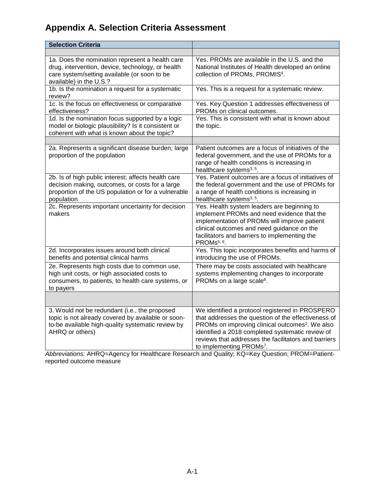# **Appendix A. Selection Criteria Assessment**

| <b>Selection Criteria</b>                                                                                                                                                       |                                                                                                                                                                                                                                                                                                                           |
|---------------------------------------------------------------------------------------------------------------------------------------------------------------------------------|---------------------------------------------------------------------------------------------------------------------------------------------------------------------------------------------------------------------------------------------------------------------------------------------------------------------------|
|                                                                                                                                                                                 |                                                                                                                                                                                                                                                                                                                           |
| 1a. Does the nomination represent a health care<br>drug, intervention, device, technology, or health<br>care system/setting available (or soon to be<br>available) in the U.S.? | Yes. PROMs are available in the U.S. and the<br>National Institutes of Health developed an online<br>collection of PROMs, PROMIS <sup>4</sup> .                                                                                                                                                                           |
| 1b. Is the nomination a request for a systematic<br>review?                                                                                                                     | Yes. This is a request for a systematic review.                                                                                                                                                                                                                                                                           |
| 1c. Is the focus on effectiveness or comparative<br>effectiveness?                                                                                                              | Yes. Key Question 1 addresses effectiveness of<br>PROMs on clinical outcomes.                                                                                                                                                                                                                                             |
| 1d. Is the nomination focus supported by a logic<br>model or biologic plausibility? Is it consistent or<br>coherent with what is known about the topic?                         | Yes. This is consistent with what is known about<br>the topic.                                                                                                                                                                                                                                                            |
|                                                                                                                                                                                 |                                                                                                                                                                                                                                                                                                                           |
| 2a. Represents a significant disease burden; large<br>proportion of the population                                                                                              | Patient outcomes are a focus of initiatives of the<br>federal government, and the use of PROMs for a<br>range of health conditions is increasing in<br>healthcare systems <sup>3, 5</sup> .                                                                                                                               |
| 2b. Is of high public interest; affects health care<br>decision making, outcomes, or costs for a large<br>proportion of the US population or for a vulnerable<br>population     | Yes. Patient outcomes are a focus of initiatives of<br>the federal government and the use of PROMs for<br>a range of health conditions is increasing in<br>healthcare systems <sup>3, 5</sup> .                                                                                                                           |
| 2c. Represents important uncertainty for decision<br>makers                                                                                                                     | Yes. Health system leaders are beginning to<br>implement PROMs and need evidence that the<br>implementation of PROMs will improve patient<br>clinical outcomes and need guidance on the<br>facilitators and barriers to implementing the<br>PROMs <sup>5, 6</sup> .                                                       |
| 2d. Incorporates issues around both clinical<br>benefits and potential clinical harms                                                                                           | Yes. This topic incorporates benefits and harms of<br>introducing the use of PROMs.                                                                                                                                                                                                                                       |
| 2e. Represents high costs due to common use,<br>high unit costs, or high associated costs to<br>consumers, to patients, to health care systems, or<br>to payers                 | There may be costs associated with healthcare<br>systems implementing changes to incorporate<br>PROMs on a large scale <sup>6</sup> .                                                                                                                                                                                     |
|                                                                                                                                                                                 |                                                                                                                                                                                                                                                                                                                           |
| 3. Would not be redundant (i.e., the proposed<br>topic is not already covered by available or soon-<br>to-be available high-quality systematic review by<br>AHRQ or others)     | We identified a protocol registered in PROSPERO<br>that addresses the question of the effectiveness of<br>PROMs on improving clinical outcomes <sup>2</sup> . We also<br>identified a 2018 completed systematic review of<br>reviews that addresses the facilitators and barriers<br>to implementing PROMs <sup>7</sup> . |

*Abbreviations:* AHRQ=Agency for Healthcare Research and Quality; KQ=Key Question; PROM=Patientreported outcome measure